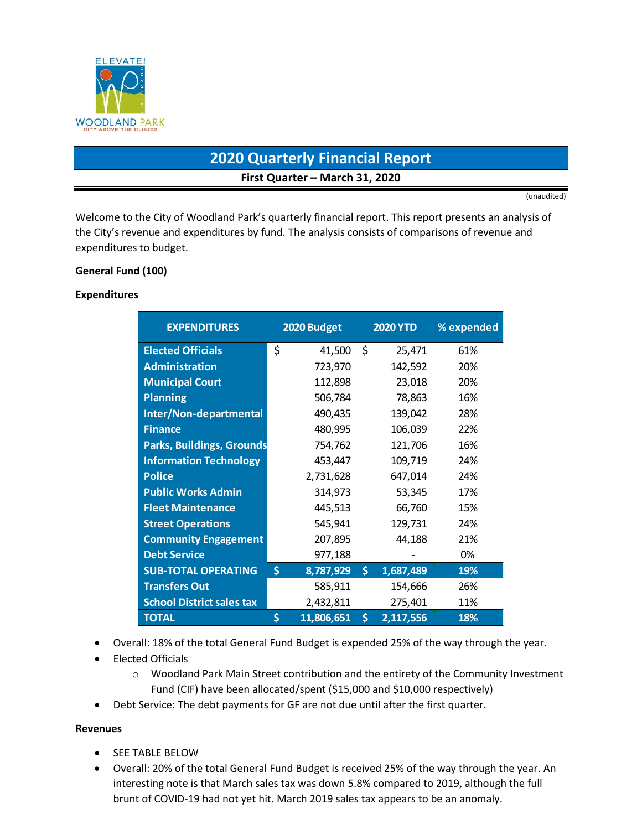

# **2020 Quarterly Financial Report First Quarter – March 31, 2020**

(unaudited)

Welcome to the City of Woodland Park's quarterly financial report. This report presents an analysis of the City's revenue and expenditures by fund. The analysis consists of comparisons of revenue and expenditures to budget.

### **General Fund (100)**

#### **Expenditures**

| <b>EXPENDITURES</b>              | 2020 Budget      |     | <b>2020 YTD</b> | % expended |
|----------------------------------|------------------|-----|-----------------|------------|
| <b>Elected Officials</b>         | \$<br>41,500     | -\$ | 25,471          | 61%        |
| <b>Administration</b>            | 723,970          |     | 142,592         | 20%        |
| <b>Municipal Court</b>           | 112,898          |     | 23,018          | 20%        |
| <b>Planning</b>                  | 506,784          |     | 78,863          | 16%        |
| Inter/Non-departmental           | 490,435          |     | 139,042         | 28%        |
| <b>Finance</b>                   | 480,995          |     | 106,039         | 22%        |
| <b>Parks, Buildings, Grounds</b> | 754,762          |     | 121,706         | 16%        |
| <b>Information Technology</b>    | 453,447          |     | 109,719         | 24%        |
| <b>Police</b>                    | 2,731,628        |     | 647,014         | 24%        |
| <b>Public Works Admin</b>        | 314,973          |     | 53,345          | 17%        |
| <b>Fleet Maintenance</b>         | 445,513          |     | 66,760          | 15%        |
| <b>Street Operations</b>         | 545,941          |     | 129,731         | 24%        |
| <b>Community Engagement</b>      | 207,895          |     | 44,188          | 21%        |
| <b>Debt Service</b>              | 977,188          |     |                 | 0%         |
| <b>SUB-TOTAL OPERATING</b>       | \$<br>8,787,929  | \$  | 1,687,489       | 19%        |
| <b>Transfers Out</b>             | 585,911          |     | 154,666         | 26%        |
| <b>School District sales tax</b> | 2,432,811        |     | 275,401         | 11%        |
| <b>TOTAL</b>                     | \$<br>11,806,651 | \$  | 2,117,556       | 18%        |

- Overall: 18% of the total General Fund Budget is expended 25% of the way through the year.
- Elected Officials
	- o Woodland Park Main Street contribution and the entirety of the Community Investment Fund (CIF) have been allocated/spent (\$15,000 and \$10,000 respectively)
- Debt Service: The debt payments for GF are not due until after the first quarter.

### **Revenues**

- **•** SEE TABLE BELOW
- Overall: 20% of the total General Fund Budget is received 25% of the way through the year. An interesting note is that March sales tax was down 5.8% compared to 2019, although the full brunt of COVID-19 had not yet hit. March 2019 sales tax appears to be an anomaly.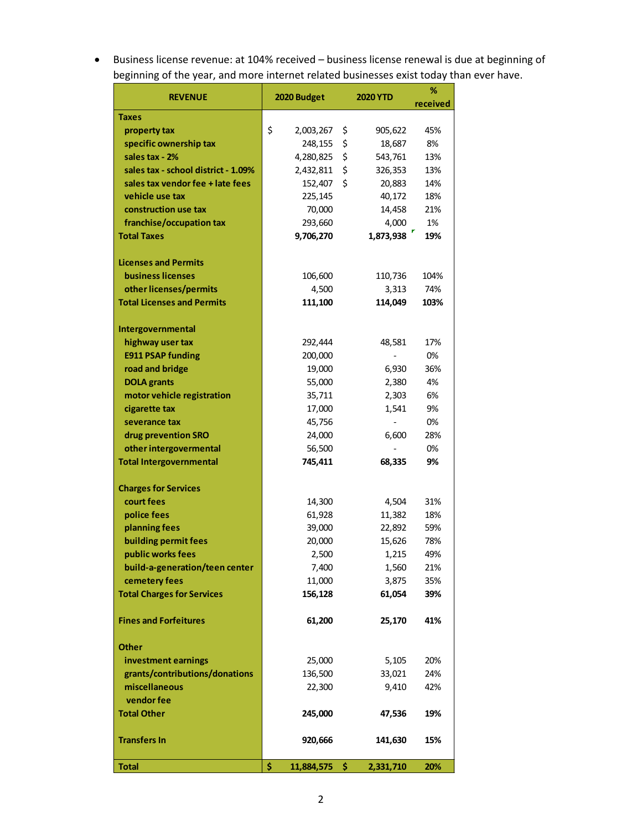Business license revenue: at 104% received – business license renewal is due at beginning of beginning of the year, and more internet related businesses exist today than ever have.

| <b>REVENUE</b>                      | 2020 Budget<br><b>2020 YTD</b> |     |                          | %        |
|-------------------------------------|--------------------------------|-----|--------------------------|----------|
|                                     |                                |     |                          | received |
| <b>Taxes</b>                        |                                |     |                          |          |
| property tax                        | \$<br>2,003,267                | \$  | 905,622                  | 45%      |
| specific ownership tax              | 248,155                        | \$  | 18,687                   | 8%       |
| sales tax - 2%                      | 4,280,825                      | \$  | 543,761                  | 13%      |
| sales tax - school district - 1.09% | 2,432,811                      | \$  | 326,353                  | 13%      |
| sales tax vendor fee + late fees    | 152,407                        | \$  | 20,883                   | 14%      |
| vehicle use tax                     | 225,145                        |     | 40,172                   | 18%      |
| construction use tax                | 70,000                         |     | 14,458                   | 21%      |
| franchise/occupation tax            | 293,660                        |     | 4,000                    | 1%       |
| <b>Total Taxes</b>                  | 9,706,270                      |     | 1,873,938                | 19%      |
|                                     |                                |     |                          |          |
| <b>Licenses and Permits</b>         |                                |     |                          |          |
| <b>business licenses</b>            | 106,600                        |     | 110,736                  | 104%     |
| other licenses/permits              | 4,500                          |     | 3,313                    | 74%      |
| <b>Total Licenses and Permits</b>   | 111,100                        |     | 114,049                  | 103%     |
|                                     |                                |     |                          |          |
| Intergovernmental                   |                                |     |                          |          |
| highway user tax                    | 292,444                        |     | 48,581                   | 17%      |
| <b>E911 PSAP funding</b>            | 200,000                        |     |                          | 0%       |
| road and bridge                     | 19,000                         |     | 6,930                    | 36%      |
| <b>DOLA</b> grants                  | 55,000                         |     | 2,380                    | 4%       |
| motor vehicle registration          | 35,711                         |     | 2,303                    | 6%       |
| cigarette tax                       | 17,000                         |     | 1,541                    | 9%       |
| severance tax                       | 45,756                         |     | $\overline{\phantom{0}}$ | 0%       |
| drug prevention SRO                 | 24,000                         |     | 6,600                    | 28%      |
| other intergovermental              | 56,500                         |     |                          | 0%       |
| <b>Total Intergovernmental</b>      | 745,411                        |     | 68,335                   | 9%       |
|                                     |                                |     |                          |          |
| <b>Charges for Services</b>         |                                |     |                          |          |
| court fees                          | 14,300                         |     | 4,504                    | 31%      |
| police fees                         | 61,928                         |     | 11,382                   | 18%      |
| planning fees                       | 39,000                         |     | 22,892                   | 59%      |
| building permit fees                | 20,000                         |     | 15,626                   | 78%      |
| public works fees                   | 2,500                          |     | 1,215                    | 49%      |
| build-a-generation/teen center      | 7,400                          |     | 1,560                    | 21%      |
| cemetery fees                       | 11,000                         |     | 3,875                    | 35%      |
| <b>Total Charges for Services</b>   | 156,128                        |     | 61,054                   | 39%      |
| <b>Fines and Forfeitures</b>        |                                |     |                          |          |
|                                     | 61,200                         |     | 25,170                   | 41%      |
| <b>Other</b>                        |                                |     |                          |          |
| investment earnings                 | 25,000                         |     | 5,105                    | 20%      |
| grants/contributions/donations      | 136,500                        |     | 33,021                   | 24%      |
| miscellaneous                       | 22,300                         |     | 9,410                    | 42%      |
| vendor fee                          |                                |     |                          |          |
| <b>Total Other</b>                  | 245,000                        |     | 47,536                   | 19%      |
|                                     |                                |     |                          |          |
| <b>Transfers In</b>                 | 920,666                        |     | 141,630                  | 15%      |
|                                     |                                |     |                          |          |
| <b>Total</b>                        | \$<br>11,884,575               | \$. | 2,331,710                | 20%      |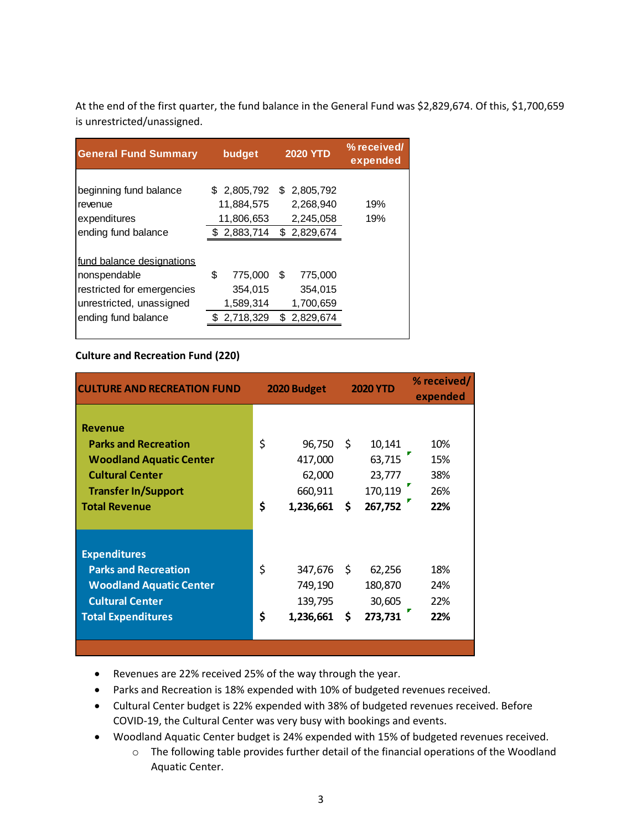At the end of the first quarter, the fund balance in the General Fund was \$2,829,674. Of this, \$1,700,659 is unrestricted/unassigned.

| <b>General Fund Summary</b>                                                                                                | budget                                                  | <b>2020 YTD</b>                                          | % received/<br>expended |
|----------------------------------------------------------------------------------------------------------------------------|---------------------------------------------------------|----------------------------------------------------------|-------------------------|
| beginning fund balance<br>revenue<br>expenditures<br>ending fund balance                                                   | \$ 2,805,792<br>11,884,575<br>11,806,653<br>\$2,883,714 | \$ 2,805,792<br>2,268,940<br>2,245,058<br>\$2,829,674    | 19%<br>19%              |
| fund balance designations<br>nonspendable<br>restricted for emergencies<br>unrestricted, unassigned<br>ending fund balance | \$<br>775,000<br>354,015<br>1,589,314<br>2,718,329      | \$.<br>775,000<br>354,015<br>1,700,659<br>2,829,674<br>S |                         |

### **Culture and Recreation Fund (220)**

| <b>CULTURE AND RECREATION FUND</b> | <b>2020 YTD</b><br>2020 Budget |            | % received/<br>expended |         |     |
|------------------------------------|--------------------------------|------------|-------------------------|---------|-----|
| <b>Revenue</b>                     |                                |            |                         |         |     |
| <b>Parks and Recreation</b>        | \$                             | 96,750     | -\$                     | 10,141  | 10% |
| <b>Woodland Aquatic Center</b>     |                                | 417,000    |                         | 63,715  | 15% |
| <b>Cultural Center</b>             |                                | 62,000     |                         | 23,777  | 38% |
| <b>Transfer In/Support</b>         |                                | 660,911    |                         | 170,119 | 26% |
| <b>Total Revenue</b>               | \$                             | 1,236,661  | - \$                    | 267,752 | 22% |
|                                    |                                |            |                         |         |     |
| <b>Expenditures</b>                |                                |            |                         |         |     |
| <b>Parks and Recreation</b>        | \$                             | 347,676 \$ |                         | 62,256  | 18% |
| <b>Woodland Aquatic Center</b>     |                                | 749,190    |                         | 180,870 | 24% |
| <b>Cultural Center</b>             |                                | 139,795    |                         | 30,605  | 22% |
| <b>Total Expenditures</b>          | \$                             | 1,236,661  | \$.                     | 273,731 | 22% |
|                                    |                                |            |                         |         |     |
|                                    |                                |            |                         |         |     |

Revenues are 22% received 25% of the way through the year.

- Parks and Recreation is 18% expended with 10% of budgeted revenues received.
- Cultural Center budget is 22% expended with 38% of budgeted revenues received. Before COVID-19, the Cultural Center was very busy with bookings and events.
- Woodland Aquatic Center budget is 24% expended with 15% of budgeted revenues received.
	- o The following table provides further detail of the financial operations of the Woodland Aquatic Center.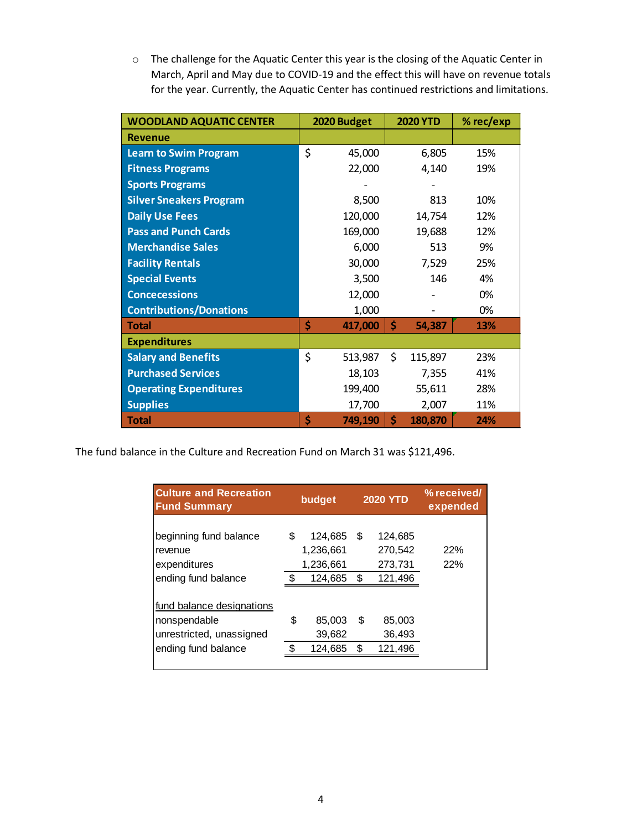o The challenge for the Aquatic Center this year is the closing of the Aquatic Center in March, April and May due to COVID-19 and the effect this will have on revenue totals for the year. Currently, the Aquatic Center has continued restrictions and limitations.

| <b>WOODLAND AQUATIC CENTER</b> |    | 2020 Budget | <b>2020 YTD</b> |         | % rec/exp |
|--------------------------------|----|-------------|-----------------|---------|-----------|
| <b>Revenue</b>                 |    |             |                 |         |           |
| <b>Learn to Swim Program</b>   | \$ | 45,000      |                 | 6,805   | 15%       |
| <b>Fitness Programs</b>        |    | 22,000      |                 | 4,140   | 19%       |
| <b>Sports Programs</b>         |    |             |                 |         |           |
| <b>Silver Sneakers Program</b> |    | 8,500       |                 | 813     | 10%       |
| <b>Daily Use Fees</b>          |    | 120,000     |                 | 14,754  | 12%       |
| <b>Pass and Punch Cards</b>    |    | 169,000     |                 | 19,688  | 12%       |
| <b>Merchandise Sales</b>       |    | 6,000       |                 | 513     | 9%        |
| <b>Facility Rentals</b>        |    | 30,000      |                 | 7,529   | 25%       |
| <b>Special Events</b>          |    | 3,500       |                 | 146     | 4%        |
| <b>Concecessions</b>           |    | 12,000      |                 |         | 0%        |
| <b>Contributions/Donations</b> |    | 1,000       |                 |         | 0%        |
| <b>Total</b>                   | Ś  | 417,000     | \$              | 54,387  | 13%       |
| <b>Expenditures</b>            |    |             |                 |         |           |
| <b>Salary and Benefits</b>     | \$ | 513,987     | \$              | 115,897 | 23%       |
| <b>Purchased Services</b>      |    | 18,103      |                 | 7,355   | 41%       |
| <b>Operating Expenditures</b>  |    | 199,400     |                 | 55,611  | 28%       |
| <b>Supplies</b>                |    | 17,700      |                 | 2,007   | 11%       |
| <b>Total</b>                   | \$ | 749,190     | \$              | 180,870 | 24%       |

The fund balance in the Culture and Recreation Fund on March 31 was \$121,496.

| <b>Culture and Recreation</b><br><b>Fund Summary</b>                                         | budget   |                                              |         | <b>2020 YTD</b>                          | % received/<br>expended |
|----------------------------------------------------------------------------------------------|----------|----------------------------------------------|---------|------------------------------------------|-------------------------|
| beginning fund balance<br>revenue<br>expenditures<br>ending fund balance                     | \$       | 124,685<br>1,236,661<br>1,236,661<br>124,685 | S<br>\$ | 124,685<br>270,542<br>273,731<br>121,496 | 22%<br>22%              |
| fund balance designations<br>nonspendable<br>unrestricted, unassigned<br>ending fund balance | \$<br>\$ | 85,003<br>39,682<br>124,685                  | S<br>\$ | 85,003<br>36,493<br>121,496              |                         |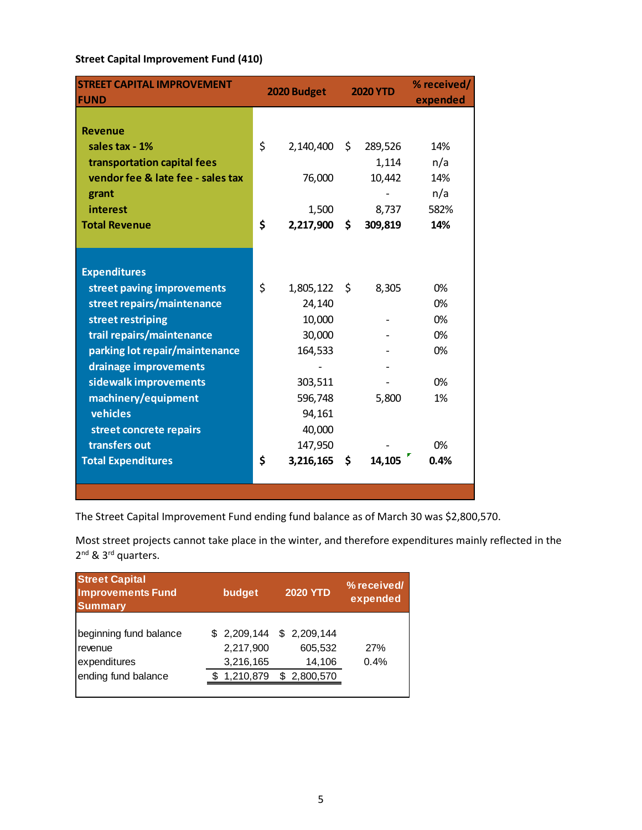### **Street Capital Improvement Fund (410)**

| <b>STREET CAPITAL IMPROVEMENT</b> | 2020 Budget |           | <b>2020 YTD</b> |         | % received/ |
|-----------------------------------|-------------|-----------|-----------------|---------|-------------|
| <b>FUND</b>                       |             |           |                 |         | expended    |
|                                   |             |           |                 |         |             |
| <b>Revenue</b>                    |             |           |                 |         |             |
| sales tax - 1%                    | \$          | 2,140,400 | \$              | 289,526 | 14%         |
| transportation capital fees       |             |           |                 | 1,114   | n/a         |
| vendor fee & late fee - sales tax |             | 76,000    |                 | 10,442  | 14%         |
| grant                             |             |           |                 |         | n/a         |
| interest                          |             | 1,500     |                 | 8,737   | 582%        |
| <b>Total Revenue</b>              | \$          | 2,217,900 | \$              | 309,819 | 14%         |
|                                   |             |           |                 |         |             |
|                                   |             |           |                 |         |             |
| <b>Expenditures</b>               |             |           |                 |         |             |
| street paving improvements        | \$          | 1,805,122 | \$              | 8,305   | 0%          |
| street repairs/maintenance        |             | 24,140    |                 |         | 0%          |
| street restriping                 |             | 10,000    |                 |         | 0%          |
| trail repairs/maintenance         |             | 30,000    |                 |         | 0%          |
| parking lot repair/maintenance    |             | 164,533   |                 |         | 0%          |
| drainage improvements             |             |           |                 |         |             |
| sidewalk improvements             |             | 303,511   |                 |         | 0%          |
| machinery/equipment               |             | 596,748   |                 | 5,800   | 1%          |
| vehicles                          |             | 94,161    |                 |         |             |
| street concrete repairs           |             | 40,000    |                 |         |             |
| transfers out                     |             | 147,950   |                 |         | 0%          |
| <b>Total Expenditures</b>         | \$          | 3,216,165 | \$              | 14,105  | 0.4%        |
|                                   |             |           |                 |         |             |
|                                   |             |           |                 |         |             |

The Street Capital Improvement Fund ending fund balance as of March 30 was \$2,800,570.

Most street projects cannot take place in the winter, and therefore expenditures mainly reflected in the 2<sup>nd</sup> & 3<sup>rd</sup> quarters.

| <b>Street Capital</b><br><b>Improvements Fund</b><br><b>Summary</b>      | budget |                                                    | <b>2020 YTD</b>                                 | % received/<br>expended |
|--------------------------------------------------------------------------|--------|----------------------------------------------------|-------------------------------------------------|-------------------------|
| beginning fund balance<br>revenue<br>expenditures<br>ending fund balance |        | \$2,209,144<br>2,217,900<br>3,216,165<br>1,210,879 | \$2,209,144<br>605,532<br>14,106<br>\$2,800,570 | 27%<br>0.4%             |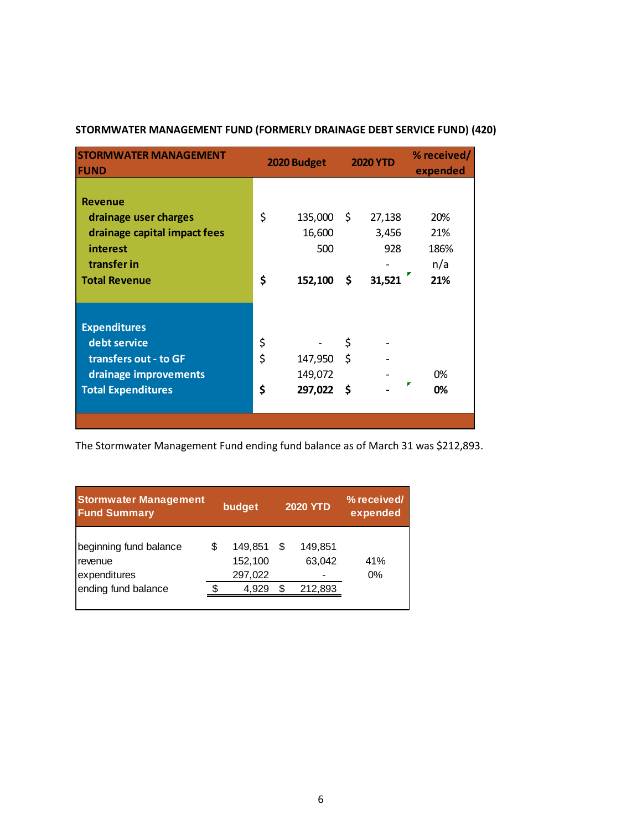| <b>STORMWATER MANAGEMENT</b><br><b>FUND</b>                                                                                |                | 2020 Budget                         |                | <b>2020 YTD</b>                  | % received/<br>expended          |
|----------------------------------------------------------------------------------------------------------------------------|----------------|-------------------------------------|----------------|----------------------------------|----------------------------------|
| <b>Revenue</b><br>drainage user charges<br>drainage capital impact fees<br>interest<br>transfer in<br><b>Total Revenue</b> | \$<br>\$       | 135,000<br>16,600<br>500<br>152,100 | -\$<br>\$      | 27,138<br>3,456<br>928<br>31,521 | 20%<br>21%<br>186%<br>n/a<br>21% |
| <b>Expenditures</b><br>debt service<br>transfers out - to GF<br>drainage improvements<br><b>Total Expenditures</b>         | \$<br>\$<br>\$ | 147,950<br>149,072<br>297,022       | \$<br>\$<br>-S |                                  | 0%<br>v<br>0%                    |

### **STORMWATER MANAGEMENT FUND (FORMERLY DRAINAGE DEBT SERVICE FUND) (420)**

The Stormwater Management Fund ending fund balance as of March 31 was \$212,893.

| <b>Stormwater Management</b><br><b>Fund Summary</b>                      |   | budget                                 |         | <b>2020 YTD</b>              | % received/<br>expended |
|--------------------------------------------------------------------------|---|----------------------------------------|---------|------------------------------|-------------------------|
| beginning fund balance<br>revenue<br>expenditures<br>ending fund balance | S | 149,851<br>152,100<br>297,022<br>4.929 | S<br>\$ | 149.851<br>63,042<br>212,893 | 41%<br>$0\%$            |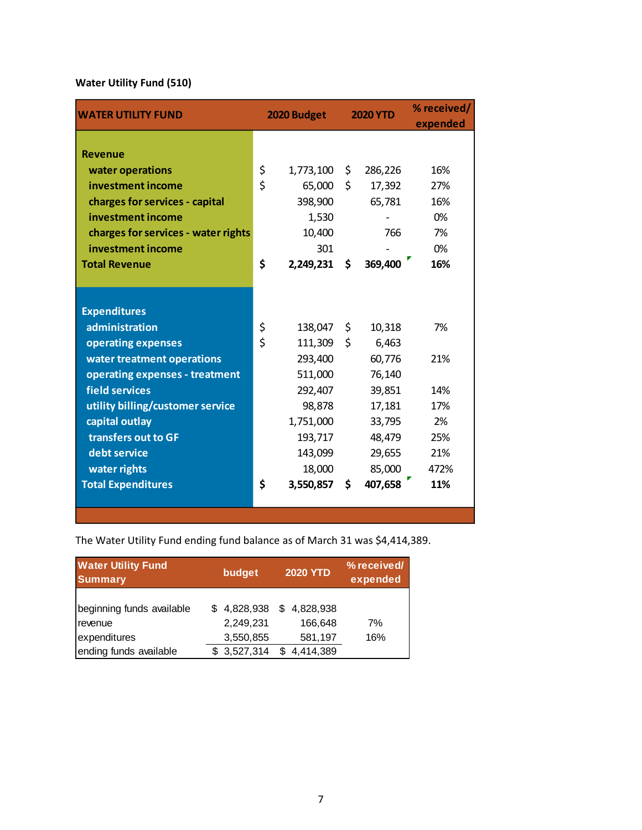# **Water Utility Fund (510)**

| <b>WATER UTILITY FUND</b>           | 2020 Budget |            | <b>2020 YTD</b> |         | % received/<br>expended |
|-------------------------------------|-------------|------------|-----------------|---------|-------------------------|
|                                     |             |            |                 |         |                         |
| <b>Revenue</b>                      |             |            |                 |         |                         |
| water operations                    | \$          | 1,773,100  | \$              | 286,226 | 16%                     |
| investment income                   | \$          | 65,000     | \$              | 17,392  | 27%                     |
| charges for services - capital      |             | 398,900    |                 | 65,781  | 16%                     |
| investment income                   |             | 1,530      |                 |         | 0%                      |
| charges for services - water rights |             | 10,400     |                 | 766     | 7%                      |
| investment income                   |             | 301        |                 |         | 0%                      |
| <b>Total Revenue</b>                | \$          | 2,249,231  | \$              | 369,400 | 16%                     |
|                                     |             |            |                 |         |                         |
|                                     |             |            |                 |         |                         |
| <b>Expenditures</b>                 |             |            |                 |         |                         |
| administration                      | \$          | 138,047 \$ |                 | 10,318  | 7%                      |
| operating expenses                  | \$          | 111,309    | \$              | 6,463   |                         |
| water treatment operations          |             | 293,400    |                 | 60,776  | 21%                     |
| operating expenses - treatment      |             | 511,000    |                 | 76,140  |                         |
| field services                      |             | 292,407    |                 | 39,851  | 14%                     |
| utility billing/customer service    |             | 98,878     |                 | 17,181  | 17%                     |
| capital outlay                      |             | 1,751,000  |                 | 33,795  | 2%                      |
| transfers out to GF                 |             | 193,717    |                 | 48,479  | 25%                     |
| debt service                        |             | 143,099    |                 | 29,655  | 21%                     |
| water rights                        |             | 18,000     |                 | 85,000  | 472%                    |
| <b>Total Expenditures</b>           | \$          | 3,550,857  | \$              | 407,658 | 11%                     |
|                                     |             |            |                 |         |                         |
|                                     |             |            |                 |         |                         |

The Water Utility Fund ending fund balance as of March 31 was \$4,414,389.

| <b>Water Utility Fund</b><br><b>Summary</b>                                    | budget                                             | <b>2020 YTD</b>                                     | % received/<br>expended |
|--------------------------------------------------------------------------------|----------------------------------------------------|-----------------------------------------------------|-------------------------|
| beginning funds available<br>revenue<br>expenditures<br>ending funds available | \$4,828,938<br>2,249,231<br>3,550,855<br>3,527,314 | \$4,828,938<br>166,648<br>581,197<br>4,414,389<br>S | 7%<br>16%               |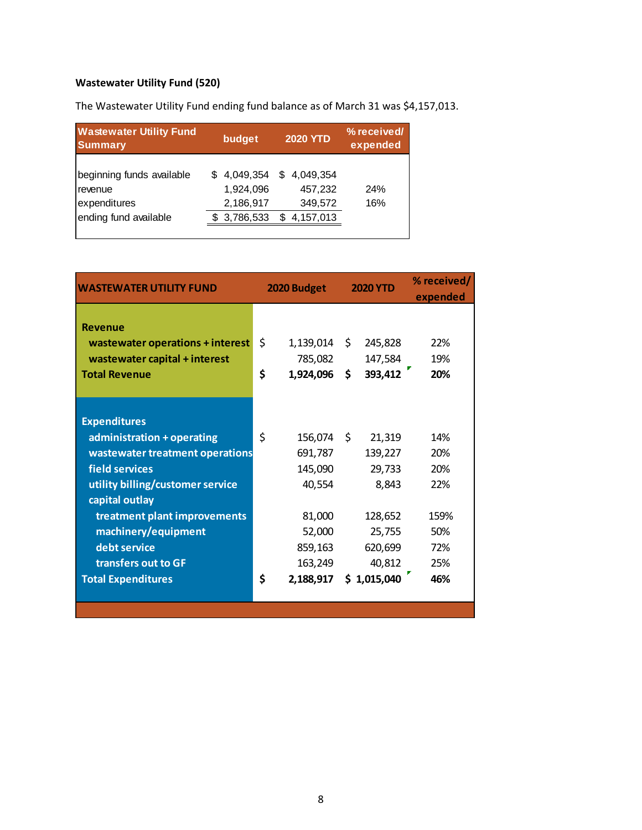# **Wastewater Utility Fund (520)**

The Wastewater Utility Fund ending fund balance as of March 31 was \$4,157,013.

| <b>Wastewater Utility Fund</b><br><b>Summary</b>                              | budget |                                                       |         | <b>2020 YTD</b>                              | % received/<br>expended |
|-------------------------------------------------------------------------------|--------|-------------------------------------------------------|---------|----------------------------------------------|-------------------------|
| beginning funds available<br>revenue<br>expenditures<br>ending fund available |        | \$4,049,354<br>1,924,096<br>2,186,917<br>\$ 3,786,533 | \$<br>S | 4,049,354<br>457,232<br>349,572<br>4,157,013 | 24%<br>16%              |

| <b>WASTEWATER UTILITY FUND</b>   | 2020 Budget |            | <b>2020 YTD</b> |             | % received/<br>expended |
|----------------------------------|-------------|------------|-----------------|-------------|-------------------------|
|                                  |             |            |                 |             |                         |
| <b>Revenue</b>                   |             |            |                 |             |                         |
| wastewater operations + interest | \$          | 1,139,014  | S.              | 245,828     | 22%                     |
| wastewater capital + interest    |             | 785,082    |                 | 147,584     | 19%                     |
| <b>Total Revenue</b>             | \$          | 1,924,096  | \$              | 393,412     | 20%                     |
|                                  |             |            |                 |             |                         |
|                                  |             |            |                 |             |                         |
| <b>Expenditures</b>              |             |            |                 |             |                         |
| administration + operating       | Ś           | 156,074 \$ |                 | 21,319      | 14%                     |
| wastewater treatment operations  |             | 691,787    |                 | 139,227     | 20%                     |
| field services                   |             | 145,090    |                 | 29,733      | 20%                     |
| utility billing/customer service |             | 40,554     |                 | 8,843       | 22%                     |
| capital outlay                   |             |            |                 |             |                         |
| treatment plant improvements     |             | 81,000     |                 | 128,652     | 159%                    |
| machinery/equipment              |             | 52,000     |                 | 25,755      | 50%                     |
| debt service                     |             | 859,163    |                 | 620,699     | 72%                     |
| transfers out to GF              |             | 163,249    |                 | 40,812      | 25%                     |
| <b>Total Expenditures</b>        | \$          | 2,188,917  |                 | \$1,015,040 | 46%                     |
|                                  |             |            |                 |             |                         |
|                                  |             |            |                 |             |                         |